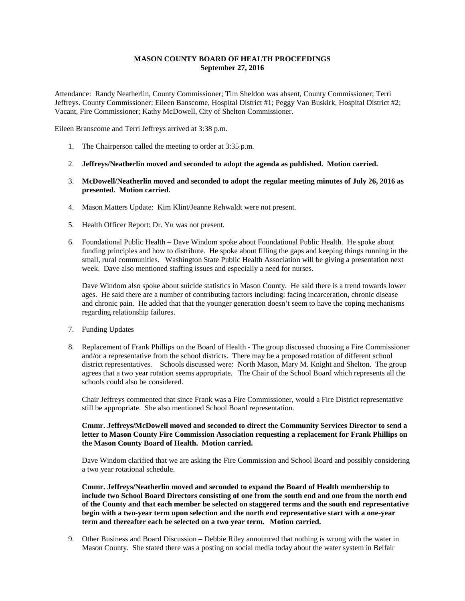## **MASON COUNTY BOARD OF HEALTH PROCEEDINGS September 27, 2016**

Attendance: Randy Neatherlin, County Commissioner; Tim Sheldon was absent, County Commissioner; Terri Jeffreys. County Commissioner; Eileen Banscome, Hospital District #1; Peggy Van Buskirk, Hospital District #2; Vacant, Fire Commissioner; Kathy McDowell, City of Shelton Commissioner.

Eileen Branscome and Terri Jeffreys arrived at 3:38 p.m.

- 1. The Chairperson called the meeting to order at 3:35 p.m.
- 2. **Jeffreys/Neatherlin moved and seconded to adopt the agenda as published. Motion carried.**
- 3. **McDowell/Neatherlin moved and seconded to adopt the regular meeting minutes of July 26, 2016 as presented. Motion carried.**
- 4. Mason Matters Update: Kim Klint/Jeanne Rehwaldt were not present.
- 5. Health Officer Report: Dr. Yu was not present.
- 6. Foundational Public Health Dave Windom spoke about Foundational Public Health. He spoke about funding principles and how to distribute. He spoke about filling the gaps and keeping things running in the small, rural communities. Washington State Public Health Association will be giving a presentation next week. Dave also mentioned staffing issues and especially a need for nurses.

Dave Windom also spoke about suicide statistics in Mason County. He said there is a trend towards lower ages. He said there are a number of contributing factors including: facing incarceration, chronic disease and chronic pain. He added that that the younger generation doesn't seem to have the coping mechanisms regarding relationship failures.

- 7. Funding Updates
- 8. Replacement of Frank Phillips on the Board of Health The group discussed choosing a Fire Commissioner and/or a representative from the school districts. There may be a proposed rotation of different school district representatives. Schools discussed were: North Mason, Mary M. Knight and Shelton. The group agrees that a two year rotation seems appropriate. The Chair of the School Board which represents all the schools could also be considered.

Chair Jeffreys commented that since Frank was a Fire Commissioner, would a Fire District representative still be appropriate. She also mentioned School Board representation.

## **Cmmr. Jeffreys/McDowell moved and seconded to direct the Community Services Director to send a letter to Mason County Fire Commission Association requesting a replacement for Frank Phillips on the Mason County Board of Health. Motion carried.**

Dave Windom clarified that we are asking the Fire Commission and School Board and possibly considering a two year rotational schedule.

**Cmmr. Jeffreys/Neatherlin moved and seconded to expand the Board of Health membership to include two School Board Directors consisting of one from the south end and one from the north end of the County and that each member be selected on staggered terms and the south end representative begin with a two-year term upon selection and the north end representative start with a one-year term and thereafter each be selected on a two year term. Motion carried.**

9. Other Business and Board Discussion – Debbie Riley announced that nothing is wrong with the water in Mason County. She stated there was a posting on social media today about the water system in Belfair